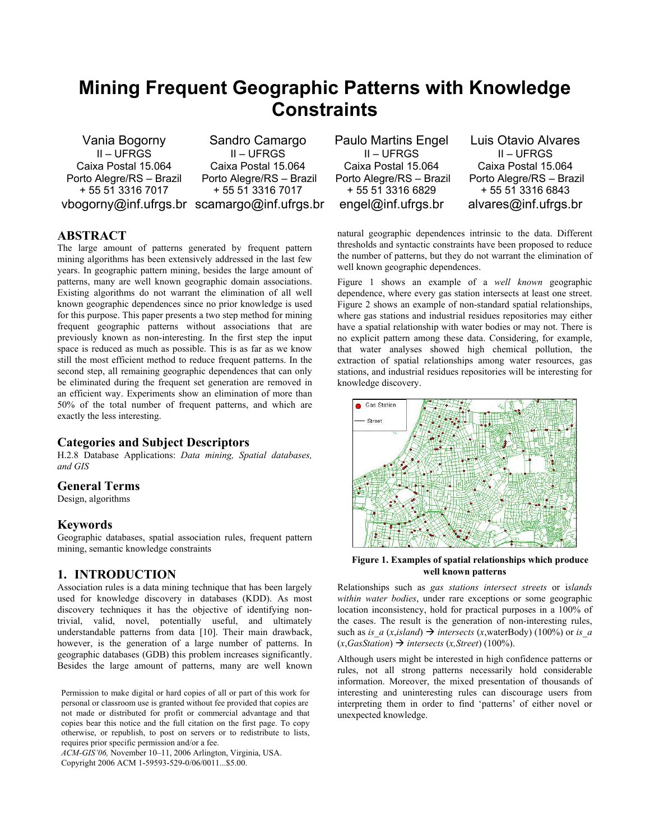# **Mining Frequent Geographic Patterns with Knowledge Constraints**

Vania Bogorny II – UFRGS Caixa Postal 15.064 Porto Alegre/RS – Brazil + 55 51 3316 7017 vbogorny@inf.ufrgs.br scamargo@inf.ufrgs.br

Sandro Camargo II – UFRGS Caixa Postal 15.064 Porto Alegre/RS – Brazil + 55 51 3316 7017

### **ABSTRACT**

The large amount of patterns generated by frequent pattern mining algorithms has been extensively addressed in the last few years. In geographic pattern mining, besides the large amount of patterns, many are well known geographic domain associations. Existing algorithms do not warrant the elimination of all well known geographic dependences since no prior knowledge is used for this purpose. This paper presents a two step method for mining frequent geographic patterns without associations that are previously known as non-interesting. In the first step the input space is reduced as much as possible. This is as far as we know still the most efficient method to reduce frequent patterns. In the second step, all remaining geographic dependences that can only be eliminated during the frequent set generation are removed in an efficient way. Experiments show an elimination of more than 50% of the total number of frequent patterns, and which are exactly the less interesting.

#### **Categories and Subject Descriptors**

H.2.8 Database Applications: *Data mining, Spatial databases, and GIS* 

## **General Terms**

Design, algorithms

### **Keywords**

Geographic databases, spatial association rules, frequent pattern mining, semantic knowledge constraints

#### **1. INTRODUCTION**

Association rules is a data mining technique that has been largely used for knowledge discovery in databases (KDD). As most discovery techniques it has the objective of identifying nontrivial, valid, novel, potentially useful, and ultimately understandable patterns from data [10]. Their main drawback, however, is the generation of a large number of patterns. In geographic databases (GDB) this problem increases significantly. Besides the large amount of patterns, many are well known

Permission to make digital or hard copies of all or part of this work for personal or classroom use is granted without fee provided that copies are not made or distributed for profit or commercial advantage and that copies bear this notice and the full citation on the first page. To copy otherwise, or republish, to post on servers or to redistribute to lists, requires prior specific permission and/or a fee.

*ACM-GIS'06,* November 10–11, 2006 Arlington, Virginia, USA. Copyright 2006 ACM 1-59593-529-0/06/0011...\$5.00.

Paulo Martins Engel II – UFRGS Caixa Postal 15.064 Porto Alegre/RS – Brazil + 55 51 3316 6829 engel@inf.ufrgs.br

Luis Otavio Alvares II – UFRGS Caixa Postal 15.064 Porto Alegre/RS – Brazil + 55 51 3316 6843 alvares@inf.ufrgs.br

natural geographic dependences intrinsic to the data. Different thresholds and syntactic constraints have been proposed to reduce the number of patterns, but they do not warrant the elimination of well known geographic dependences.

Figure 1 shows an example of a *well known* geographic dependence, where every gas station intersects at least one street. Figure 2 shows an example of non-standard spatial relationships, where gas stations and industrial residues repositories may either have a spatial relationship with water bodies or may not. There is no explicit pattern among these data. Considering, for example, that water analyses showed high chemical pollution, the extraction of spatial relationships among water resources, gas stations, and industrial residues repositories will be interesting for knowledge discovery.



**Figure 1. Examples of spatial relationships which produce well known patterns** 

Relationships such as *gas stations intersect streets* or i*slands within water bodies*, under rare exceptions or some geographic location inconsistency, hold for practical purposes in a 100% of the cases. The result is the generation of non-interesting rules, such as *is\_a* (*x*,*island*)  $\rightarrow$  *intersects* (*x*,waterBody) (100%) or *is\_a*  $(x, GasStation) \rightarrow intersects (x, Street) (100\%).$ 

Although users might be interested in high confidence patterns or rules, not all strong patterns necessarily hold considerable information. Moreover, the mixed presentation of thousands of interesting and uninteresting rules can discourage users from interpreting them in order to find 'patterns' of either novel or unexpected knowledge.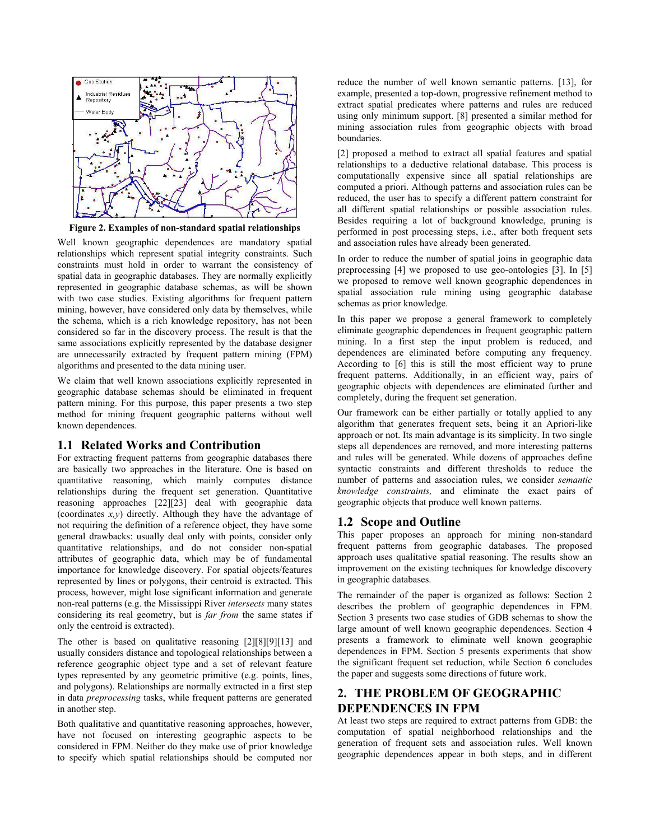

**Figure 2. Examples of non-standard spatial relationships** 

Well known geographic dependences are mandatory spatial relationships which represent spatial integrity constraints. Such constraints must hold in order to warrant the consistency of spatial data in geographic databases. They are normally explicitly represented in geographic database schemas, as will be shown with two case studies. Existing algorithms for frequent pattern mining, however, have considered only data by themselves, while the schema, which is a rich knowledge repository, has not been considered so far in the discovery process. The result is that the same associations explicitly represented by the database designer are unnecessarily extracted by frequent pattern mining (FPM) algorithms and presented to the data mining user.

We claim that well known associations explicitly represented in geographic database schemas should be eliminated in frequent pattern mining. For this purpose, this paper presents a two step method for mining frequent geographic patterns without well known dependences.

### **1.1 Related Works and Contribution**

For extracting frequent patterns from geographic databases there are basically two approaches in the literature. One is based on quantitative reasoning, which mainly computes distance relationships during the frequent set generation. Quantitative reasoning approaches [22][23] deal with geographic data (coordinates *x,y*) directly. Although they have the advantage of not requiring the definition of a reference object, they have some general drawbacks: usually deal only with points, consider only quantitative relationships, and do not consider non-spatial attributes of geographic data, which may be of fundamental importance for knowledge discovery. For spatial objects/features represented by lines or polygons, their centroid is extracted. This process, however, might lose significant information and generate non-real patterns (e.g. the Mississippi River *intersects* many states considering its real geometry, but is *far from* the same states if only the centroid is extracted).

The other is based on qualitative reasoning [2][8][9][13] and usually considers distance and topological relationships between a reference geographic object type and a set of relevant feature types represented by any geometric primitive (e.g. points, lines, and polygons). Relationships are normally extracted in a first step in data *preprocessing* tasks, while frequent patterns are generated in another step.

Both qualitative and quantitative reasoning approaches, however, have not focused on interesting geographic aspects to be considered in FPM. Neither do they make use of prior knowledge to specify which spatial relationships should be computed nor

reduce the number of well known semantic patterns. [13], for example, presented a top-down, progressive refinement method to extract spatial predicates where patterns and rules are reduced using only minimum support. [8] presented a similar method for mining association rules from geographic objects with broad boundaries.

[2] proposed a method to extract all spatial features and spatial relationships to a deductive relational database. This process is computationally expensive since all spatial relationships are computed a priori. Although patterns and association rules can be reduced, the user has to specify a different pattern constraint for all different spatial relationships or possible association rules. Besides requiring a lot of background knowledge, pruning is performed in post processing steps, i.e., after both frequent sets and association rules have already been generated.

In order to reduce the number of spatial joins in geographic data preprocessing [4] we proposed to use geo-ontologies [3]. In [5] we proposed to remove well known geographic dependences in spatial association rule mining using geographic database schemas as prior knowledge.

In this paper we propose a general framework to completely eliminate geographic dependences in frequent geographic pattern mining. In a first step the input problem is reduced, and dependences are eliminated before computing any frequency. According to [6] this is still the most efficient way to prune frequent patterns. Additionally, in an efficient way, pairs of geographic objects with dependences are eliminated further and completely, during the frequent set generation.

Our framework can be either partially or totally applied to any algorithm that generates frequent sets, being it an Apriori-like approach or not. Its main advantage is its simplicity. In two single steps all dependences are removed, and more interesting patterns and rules will be generated. While dozens of approaches define syntactic constraints and different thresholds to reduce the number of patterns and association rules, we consider *semantic knowledge constraints,* and eliminate the exact pairs of geographic objects that produce well known patterns.

#### **1.2 Scope and Outline**

This paper proposes an approach for mining non-standard frequent patterns from geographic databases. The proposed approach uses qualitative spatial reasoning. The results show an improvement on the existing techniques for knowledge discovery in geographic databases.

The remainder of the paper is organized as follows: Section 2 describes the problem of geographic dependences in FPM. Section 3 presents two case studies of GDB schemas to show the large amount of well known geographic dependences. Section 4 presents a framework to eliminate well known geographic dependences in FPM. Section 5 presents experiments that show the significant frequent set reduction, while Section 6 concludes the paper and suggests some directions of future work.

# **2. THE PROBLEM OF GEOGRAPHIC DEPENDENCES IN FPM**

At least two steps are required to extract patterns from GDB: the computation of spatial neighborhood relationships and the generation of frequent sets and association rules. Well known geographic dependences appear in both steps, and in different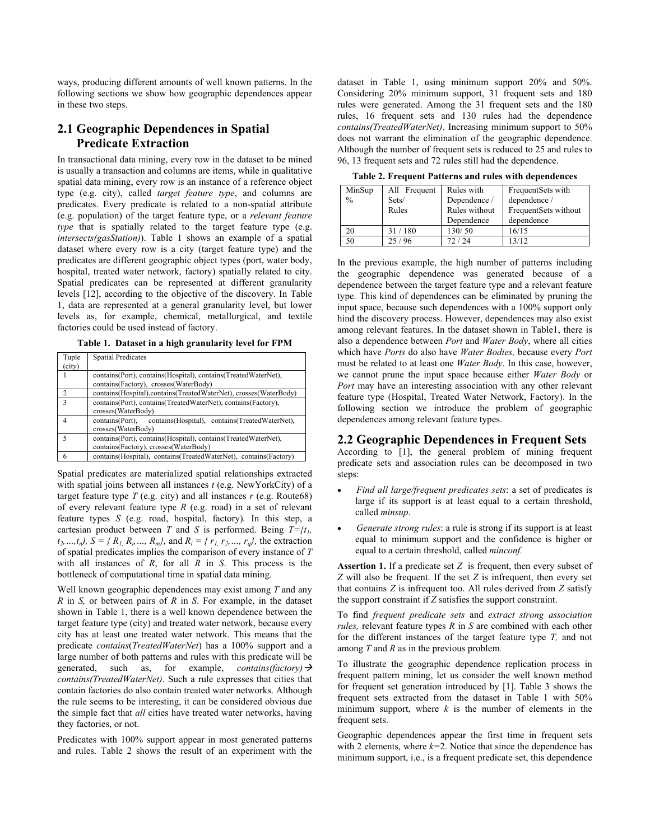ways, producing different amounts of well known patterns. In the following sections we show how geographic dependences appear in these two steps.

# **2.1 Geographic Dependences in Spatial Predicate Extraction**

In transactional data mining, every row in the dataset to be mined is usually a transaction and columns are items, while in qualitative spatial data mining, every row is an instance of a reference object type (e.g. city), called *target feature type*, and columns are predicates. Every predicate is related to a non-spatial attribute (e.g. population) of the target feature type, or a *relevant feature type* that is spatially related to the target feature type (e.g. *intersects(gasStation)*). Table 1 shows an example of a spatial dataset where every row is a city (target feature type) and the predicates are different geographic object types (port, water body, hospital, treated water network, factory) spatially related to city. Spatial predicates can be represented at different granularity levels [12], according to the objective of the discovery. In Table 1, data are represented at a general granularity level, but lower levels as, for example, chemical, metallurgical, and textile factories could be used instead of factory.

**Table 1. Dataset in a high granularity level for FPM** 

| Tuple         | <b>Spatial Predicates</b>                                            |
|---------------|----------------------------------------------------------------------|
| (city)        |                                                                      |
|               | contains(Port), contains(Hospital), contains(TreatedWaterNet),       |
|               | contains(Factory), crosses(WaterBody)                                |
| $\mathcal{L}$ | contains(Hospital), contains(TreatedWaterNet), crosses(WaterBody)    |
| $\mathcal{R}$ | contains (Port), contains (Treated WaterNet), contains (Factory),    |
|               | crosses(WaterBody)                                                   |
| 4             | contains (Port), contains (Hospital), contains (Treated Water Net),  |
|               | crosses(WaterBody)                                                   |
|               | contains (Port), contains (Hospital), contains (Treated WaterNet),   |
|               | contains(Factory), crosses(WaterBody)                                |
| 6             | contains (Hospital), contains (Treated WaterNet), contains (Factory) |

Spatial predicates are materialized spatial relationships extracted with spatial joins between all instances *t* (e.g. NewYorkCity) of a target feature type  $T$  (e.g. city) and all instances  $r$  (e.g. Route68) of every relevant feature type *R* (e.g. road) in a set of relevant feature types *S* (e.g. road, hospital, factory)*.* In this step, a cartesian product between *T* and *S* is performed. Being  $T=f(t)$ ,  $t_2, ..., t_n$ ,  $S = \{ R_1, R_2, ..., R_m \}$ , and  $R_i = \{ r_1, r_2, ..., r_q \}$ , the extraction of spatial predicates implies the comparison of every instance of *T* with all instances of *R*, for all *R* in *S*. This process is the bottleneck of computational time in spatial data mining.

Well known geographic dependences may exist among *T* and any *R* in *S,* or between pairs of *R* in *S*. For example, in the dataset shown in Table 1, there is a well known dependence between the target feature type (city) and treated water network, because every city has at least one treated water network. This means that the predicate *contains*(*TreatedWaterNet*) has a 100% support and a large number of both patterns and rules with this predicate will be generated, such as, for example, *contains(factory)* $\rightarrow$ *contains(TreatedWaterNet)*. Such a rule expresses that cities that contain factories do also contain treated water networks. Although the rule seems to be interesting, it can be considered obvious due the simple fact that *all* cities have treated water networks, having they factories, or not.

Predicates with 100% support appear in most generated patterns and rules. Table 2 shows the result of an experiment with the dataset in Table 1, using minimum support 20% and 50%. Considering 20% minimum support, 31 frequent sets and 180 rules were generated. Among the 31 frequent sets and the 180 rules, 16 frequent sets and 130 rules had the dependence *contains(TreatedWaterNet)*. Increasing minimum support to 50% does not warrant the elimination of the geographic dependence. Although the number of frequent sets is reduced to 25 and rules to 96, 13 frequent sets and 72 rules still had the dependence.

**Table 2. Frequent Patterns and rules with dependences** 

| MinSup        | All Frequent | Rules with    | FrequentSets with    |
|---------------|--------------|---------------|----------------------|
| $\frac{0}{0}$ | Sets/        | Dependence /  | dependence /         |
|               | Rules        | Rules without | FrequentSets without |
|               |              | Dependence    | dependence           |
| 20            | 31/180       | 130/50        | 16/15                |
| 50            | 25/96        | 72 / 24       | 13/12                |

In the previous example, the high number of patterns including the geographic dependence was generated because of a dependence between the target feature type and a relevant feature type. This kind of dependences can be eliminated by pruning the input space, because such dependences with a 100% support only hind the discovery process. However, dependences may also exist among relevant features. In the dataset shown in Table1, there is also a dependence between *Port* and *Water Body*, where all cities which have *Ports* do also have *Water Bodies,* because every *Port* must be related to at least one *Water Body*. In this case, however, we cannot prune the input space because either *Water Body* or *Port* may have an interesting association with any other relevant feature type (Hospital, Treated Water Network, Factory). In the following section we introduce the problem of geographic dependences among relevant feature types.

#### **2.2 Geographic Dependences in Frequent Sets**

According to [1], the general problem of mining frequent predicate sets and association rules can be decomposed in two steps:

- *Find all large/frequent predicates sets*: a set of predicates is large if its support is at least equal to a certain threshold, called *minsup*.
- *Generate strong rules*: a rule is strong if its support is at least equal to minimum support and the confidence is higher or equal to a certain threshold, called *minconf.*

**Assertion 1.** If a predicate set *Z* is frequent, then every subset of *Z* will also be frequent. If the set *Z* is infrequent, then every set that contains *Z* is infrequent too. All rules derived from *Z* satisfy the support constraint if *Z* satisfies the support constraint.

To find *frequent predicate sets* and *extract strong association rules,* relevant feature types *R* in *S* are combined with each other for the different instances of the target feature type *T,* and not among *T* and *R* as in the previous problem*.*

To illustrate the geographic dependence replication process in frequent pattern mining, let us consider the well known method for frequent set generation introduced by [1]. Table 3 shows the frequent sets extracted from the dataset in Table 1 with 50% minimum support, where  $k$  is the number of elements in the frequent sets.

Geographic dependences appear the first time in frequent sets with 2 elements, where *k=*2. Notice that since the dependence has minimum support, i.e., is a frequent predicate set, this dependence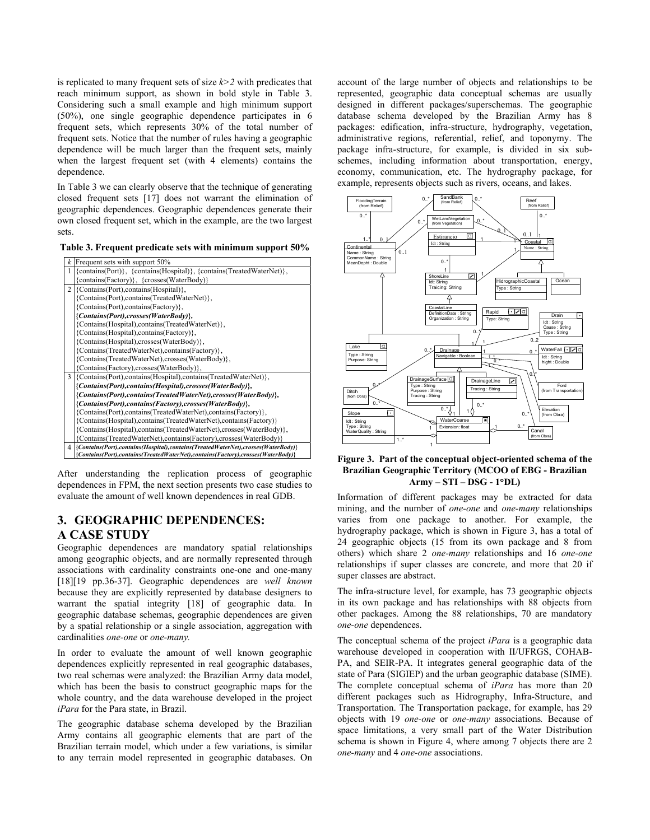is replicated to many frequent sets of size *k>2* with predicates that reach minimum support, as shown in bold style in Table 3. Considering such a small example and high minimum support (50%), one single geographic dependence participates in 6 frequent sets, which represents 30% of the total number of frequent sets. Notice that the number of rules having a geographic dependence will be much larger than the frequent sets, mainly when the largest frequent set (with 4 elements) contains the dependence.

In Table 3 we can clearly observe that the technique of generating closed frequent sets [17] does not warrant the elimination of geographic dependences. Geographic dependences generate their own closed frequent set, which in the example, are the two largest sets.

**Table 3. Frequent predicate sets with minimum support 50%** 

|   | $k$ Frequent sets with support 50%                                               |
|---|----------------------------------------------------------------------------------|
| 1 | {contains(Port)}, {contains(Hospital)}, {contains(TreatedWaterNet)},             |
|   | {contains(Factory)}, {crosses(WaterBody)}                                        |
| 2 | {Contains(Port), contains(Hospital)},                                            |
|   | {Contains(Port), contains(TreatedWaterNet)},                                     |
|   | {Contains(Port), contains(Factory)},                                             |
|   | {Contains(Port),crosses(WaterBody)},                                             |
|   | {Contains(Hospital), contains(TreatedWaterNet)},                                 |
|   | {Contains(Hospital), contains(Factory)},                                         |
|   | {Contains(Hospital), crosses(WaterBody)},                                        |
|   | {Contains(TreatedWaterNet), contains(Factory)},                                  |
|   | {Contains(TreatedWaterNet), crosses(WaterBody)},                                 |
|   | {Contains(Factory), crosses(WaterBody)},                                         |
| 3 | {Contains(Port),contains(Hospital),contains(TreatedWaterNet)},                   |
|   | {Contains(Port),contains(Hospital),crosses(WaterBody)},                          |
|   | {Contains(Port),contains(TreatedWaterNet),crosses(WaterBody)},                   |
|   | {Contains(Port),contains(Factory),crosses(WaterBody)},                           |
|   | {Contains(Port), contains(TreatedWaterNet), contains(Factory)},                  |
|   | {Contains(Hospital),contains(TreatedWaterNet),contains(Factory)}                 |
|   | {Contains(Hospital), contains(TreatedWaterNet), crosses(WaterBody)},             |
|   | {Contains(TreatedWaterNet),contains(Factory),crosses(WaterBody)}                 |
| 4 | {Contains(Port),contains(Hospital),contains(TreatedWaterNet),crosses(WaterBody)} |
|   | {Contains(Port),contains(TreatedWaterNet),contains(Factory),crosses(WaterBody)}  |

After understanding the replication process of geographic dependences in FPM, the next section presents two case studies to evaluate the amount of well known dependences in real GDB.

# **3. GEOGRAPHIC DEPENDENCES: A CASE STUDY**

Geographic dependences are mandatory spatial relationships among geographic objects, and are normally represented through associations with cardinality constraints one-one and one-many [18][19 pp.36-37]. Geographic dependences are *well known*  because they are explicitly represented by database designers to warrant the spatial integrity [18] of geographic data. In geographic database schemas, geographic dependences are given by a spatial relationship or a single association, aggregation with cardinalities *one-one* or *one-many.* 

In order to evaluate the amount of well known geographic dependences explicitly represented in real geographic databases, two real schemas were analyzed: the Brazilian Army data model, which has been the basis to construct geographic maps for the whole country, and the data warehouse developed in the project *iPara* for the Para state, in Brazil.

The geographic database schema developed by the Brazilian Army contains all geographic elements that are part of the Brazilian terrain model, which under a few variations, is similar to any terrain model represented in geographic databases. On account of the large number of objects and relationships to be represented, geographic data conceptual schemas are usually designed in different packages/superschemas. The geographic database schema developed by the Brazilian Army has 8 packages: edification, infra-structure, hydrography, vegetation, administrative regions, referential, relief, and toponymy. The package infra-structure, for example, is divided in six subschemes, including information about transportation, energy, economy, communication, etc. The hydrography package, for example, represents objects such as rivers, oceans, and lakes.



#### **Figure 3. Part of the conceptual object-oriented schema of the Brazilian Geographic Territory (MCOO of EBG - Brazilian Army – STI – DSG - 1**°**DL)**

Information of different packages may be extracted for data mining, and the number of *one-one* and *one-many* relationships varies from one package to another. For example, the hydrography package, which is shown in Figure 3, has a total of 24 geographic objects (15 from its own package and 8 from others) which share 2 *one-many* relationships and 16 *one-one* relationships if super classes are concrete, and more that 20 if super classes are abstract.

The infra-structure level, for example, has 73 geographic objects in its own package and has relationships with 88 objects from other packages. Among the 88 relationships, 70 are mandatory *one-one* dependences.

The conceptual schema of the project *iPara* is a geographic data warehouse developed in cooperation with II/UFRGS, COHAB-PA, and SEIR-PA. It integrates general geographic data of the state of Para (SIGIEP) and the urban geographic database (SIME). The complete conceptual schema of *iPara* has more than 20 different packages such as Hidrography, Infra-Structure, and Transportation. The Transportation package, for example, has 29 objects with 19 *one-one* or *one-many* associations*.* Because of space limitations, a very small part of the Water Distribution schema is shown in Figure 4, where among 7 objects there are 2 *one-many* and 4 *one-one* associations.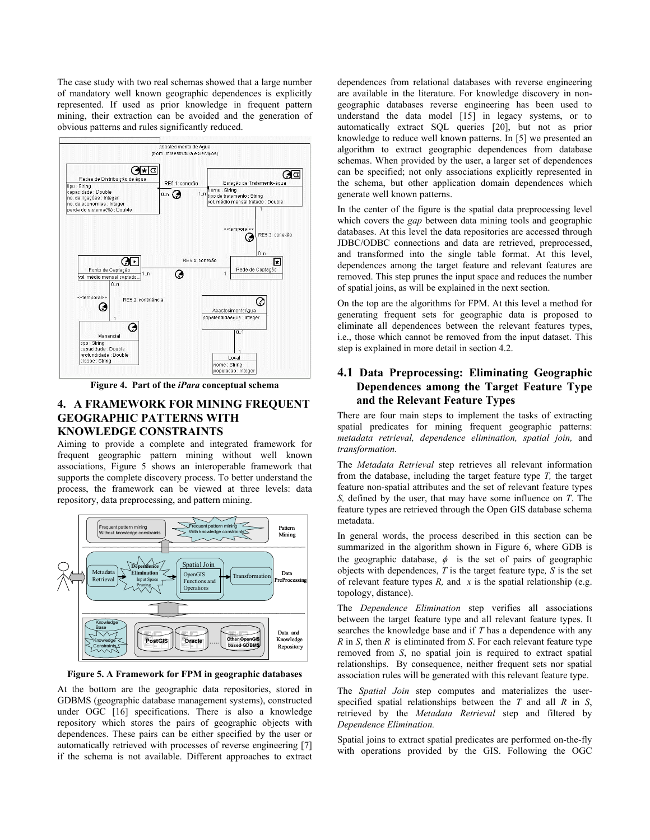The case study with two real schemas showed that a large number of mandatory well known geographic dependences is explicitly represented. If used as prior knowledge in frequent pattern mining, their extraction can be avoided and the generation of obvious patterns and rules significantly reduced.



**Figure 4. Part of the** *iPara* **conceptual schema** 

### **4. A FRAMEWORK FOR MINING FREQUENT GEOGRAPHIC PATTERNS WITH KNOWLEDGE CONSTRAINTS**

Aiming to provide a complete and integrated framework for frequent geographic pattern mining without well known associations, Figure 5 shows an interoperable framework that supports the complete discovery process. To better understand the process, the framework can be viewed at three levels: data repository, data preprocessing, and pattern mining.



**Figure 5. A Framework for FPM in geographic databases** 

At the bottom are the geographic data repositories, stored in GDBMS (geographic database management systems), constructed under OGC [16] specifications. There is also a knowledge repository which stores the pairs of geographic objects with dependences. These pairs can be either specified by the user or automatically retrieved with processes of reverse engineering [7] if the schema is not available. Different approaches to extract

dependences from relational databases with reverse engineering are available in the literature. For knowledge discovery in nongeographic databases reverse engineering has been used to understand the data model [15] in legacy systems, or to automatically extract SQL queries [20], but not as prior knowledge to reduce well known patterns. In [5] we presented an algorithm to extract geographic dependences from database schemas. When provided by the user, a larger set of dependences can be specified; not only associations explicitly represented in the schema, but other application domain dependences which generate well known patterns.

In the center of the figure is the spatial data preprocessing level which covers the *gap* between data mining tools and geographic databases. At this level the data repositories are accessed through JDBC/ODBC connections and data are retrieved, preprocessed, and transformed into the single table format. At this level, dependences among the target feature and relevant features are removed. This step prunes the input space and reduces the number of spatial joins, as will be explained in the next section.

On the top are the algorithms for FPM. At this level a method for generating frequent sets for geographic data is proposed to eliminate all dependences between the relevant features types, i.e., those which cannot be removed from the input dataset. This step is explained in more detail in section 4.2.

### **4.1 Data Preprocessing: Eliminating Geographic Dependences among the Target Feature Type and the Relevant Feature Types**

There are four main steps to implement the tasks of extracting spatial predicates for mining frequent geographic patterns: *metadata retrieval, dependence elimination, spatial join,* and *transformation.*

The *Metadata Retrieval* step retrieves all relevant information from the database, including the target feature type *T,* the target feature non-spatial attributes and the set of relevant feature types *S,* defined by the user, that may have some influence on *T*. The feature types are retrieved through the Open GIS database schema metadata.

In general words, the process described in this section can be summarized in the algorithm shown in Figure 6, where GDB is the geographic database,  $\phi$  is the set of pairs of geographic objects with dependences, *T* is the target feature type*, S* is the set of relevant feature types *R,* and *x* is the spatial relationship (e.g. topology, distance).

The *Dependence Elimination* step verifies all associations between the target feature type and all relevant feature types. It searches the knowledge base and if *T* has a dependence with any *R* in *S*, then *R* is eliminated from *S*. For each relevant feature type removed from *S*, no spatial join is required to extract spatial relationships. By consequence, neither frequent sets nor spatial association rules will be generated with this relevant feature type.

The *Spatial Join* step computes and materializes the userspecified spatial relationships between the *T* and all *R* in *S*, retrieved by the *Metadata Retrieval* step and filtered by *Dependence Elimination.* 

Spatial joins to extract spatial predicates are performed on-the-fly with operations provided by the GIS. Following the OGC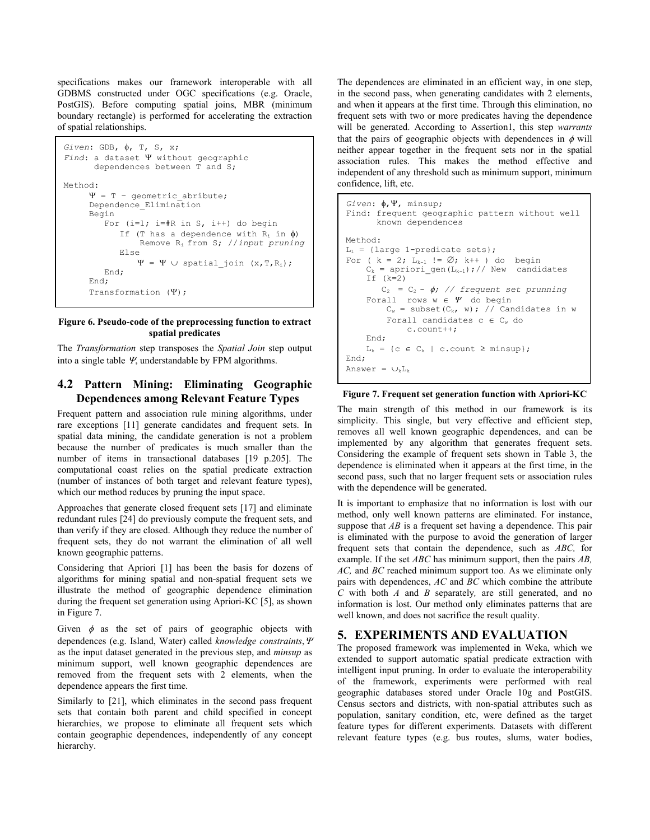specifications makes our framework interoperable with all GDBMS constructed under OGC specifications (e.g. Oracle, PostGIS). Before computing spatial joins, MBR (minimum boundary rectangle) is performed for accelerating the extraction of spatial relationships.

```
Given: GDB, φ, T, S, x; 
Find: a dataset Ψ without geographic 
       dependences between T and S; 
Method: 
     \Psi = T - geometric abribute;
      Dependence_Elimination 
      Begin 
         For (i=1; i=#R in S, i++) do begin
            If (T has a dependence with R_i in \phi)
                  Remove Ri from S; //input pruning
             Else 
                Ψ = Ψ ∪ spatial join (x, T, R<sub>i</sub>);
          End; 
      End; 
      Transformation (Ψ);
```
#### **Figure 6. Pseudo-code of the preprocessing function to extract spatial predicates**

The *Transformation* step transposes the *Spatial Join* step output into a single table  $\mathcal{V}$ , understandable by FPM algorithms.

## **4.2 Pattern Mining: Eliminating Geographic Dependences among Relevant Feature Types**

Frequent pattern and association rule mining algorithms, under rare exceptions [11] generate candidates and frequent sets. In spatial data mining, the candidate generation is not a problem because the number of predicates is much smaller than the number of items in transactional databases [19 p.205]. The computational coast relies on the spatial predicate extraction (number of instances of both target and relevant feature types), which our method reduces by pruning the input space.

Approaches that generate closed frequent sets [17] and eliminate redundant rules [24] do previously compute the frequent sets, and than verify if they are closed. Although they reduce the number of frequent sets, they do not warrant the elimination of all well known geographic patterns.

Considering that Apriori [1] has been the basis for dozens of algorithms for mining spatial and non-spatial frequent sets we illustrate the method of geographic dependence elimination during the frequent set generation using Apriori-KC [5], as shown in Figure 7.

Given  $\phi$  as the set of pairs of geographic objects with dependences (e.g. Island, Water) called *knowledge constraints*,<sup>Ψ</sup> as the input dataset generated in the previous step, and *minsup* as minimum support, well known geographic dependences are removed from the frequent sets with 2 elements, when the dependence appears the first time.

Similarly to [21], which eliminates in the second pass frequent sets that contain both parent and child specified in concept hierarchies, we propose to eliminate all frequent sets which contain geographic dependences, independently of any concept hierarchy.

The dependences are eliminated in an efficient way, in one step, in the second pass, when generating candidates with 2 elements, and when it appears at the first time. Through this elimination, no frequent sets with two or more predicates having the dependence will be generated. According to Assertion1, this step *warrants* that the pairs of geographic objects with dependences in  $\phi$  will neither appear together in the frequent sets nor in the spatial association rules. This makes the method effective and independent of any threshold such as minimum support, minimum confidence, lift, etc.

```
Given: φ,Ψ, minsup; 
Find: frequent geographic pattern without well 
        known dependences 
Method: 
L_1 = {large 1-predicate sets};
For ( k = 2; L_{k-1} := \emptyset; k++ ) do begin
    C_k = apriori gen(L<sub>k-1</sub>);// New candidates
    If (k=2)C_2 = C_2 - \phi; // frequent set prunning
    Forall rows w \in \varPsi do begin
         C_w = subset(C_k, w); // Candidates in w
         Forall candidates c \in C_w do
               c.count++; 
     End; 
    L_k = {c \in C_k \mid c.count \ge minsup};
End; 
Answer = \cup_k L_k
```
#### **Figure 7. Frequent set generation function with Apriori-KC**

The main strength of this method in our framework is its simplicity. This single, but very effective and efficient step, removes all well known geographic dependences, and can be implemented by any algorithm that generates frequent sets. Considering the example of frequent sets shown in Table 3, the dependence is eliminated when it appears at the first time, in the second pass, such that no larger frequent sets or association rules with the dependence will be generated.

It is important to emphasize that no information is lost with our method, only well known patterns are eliminated. For instance, suppose that *AB* is a frequent set having a dependence. This pair is eliminated with the purpose to avoid the generation of larger frequent sets that contain the dependence, such as *ABC,* for example. If the set *ABC* has minimum support, then the pairs *AB, AC,* and *BC* reached minimum support too*.* As we eliminate only pairs with dependences, *AC* and *BC* which combine the attribute *C* with both *A* and *B* separately*,* are still generated, and no information is lost. Our method only eliminates patterns that are well known, and does not sacrifice the result quality.

#### **5. EXPERIMENTS AND EVALUATION**

The proposed framework was implemented in Weka, which we extended to support automatic spatial predicate extraction with intelligent input pruning. In order to evaluate the interoperability of the framework, experiments were performed with real geographic databases stored under Oracle 10g and PostGIS. Census sectors and districts, with non-spatial attributes such as population, sanitary condition, etc, were defined as the target feature types for different experiments*.* Datasets with different relevant feature types (e.g. bus routes, slums, water bodies,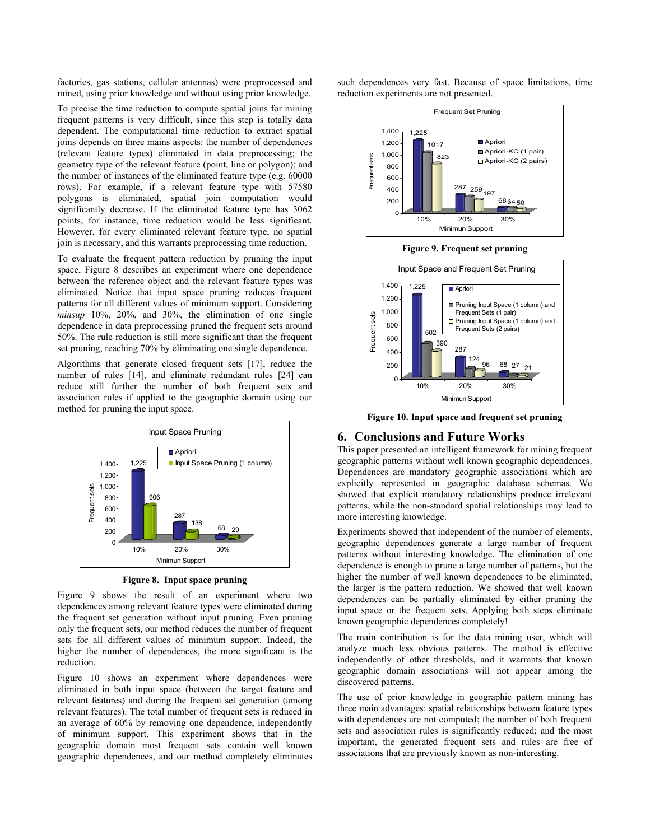factories, gas stations, cellular antennas) were preprocessed and mined, using prior knowledge and without using prior knowledge.

To precise the time reduction to compute spatial joins for mining frequent patterns is very difficult, since this step is totally data dependent. The computational time reduction to extract spatial joins depends on three mains aspects: the number of dependences (relevant feature types) eliminated in data preprocessing; the geometry type of the relevant feature (point, line or polygon); and the number of instances of the eliminated feature type (e.g. 60000 rows). For example, if a relevant feature type with 57580 polygons is eliminated, spatial join computation would significantly decrease. If the eliminated feature type has 3062 points, for instance, time reduction would be less significant. However, for every eliminated relevant feature type, no spatial join is necessary, and this warrants preprocessing time reduction.

To evaluate the frequent pattern reduction by pruning the input space, Figure 8 describes an experiment where one dependence between the reference object and the relevant feature types was eliminated. Notice that input space pruning reduces frequent patterns for all different values of minimum support. Considering *minsup* 10%, 20%, and 30%, the elimination of one single dependence in data preprocessing pruned the frequent sets around 50%. The rule reduction is still more significant than the frequent set pruning, reaching 70% by eliminating one single dependence.

Algorithms that generate closed frequent sets [17], reduce the number of rules [14], and eliminate redundant rules [24] can reduce still further the number of both frequent sets and association rules if applied to the geographic domain using our method for pruning the input space.



**Figure 8. Input space pruning**

Figure 9 shows the result of an experiment where two dependences among relevant feature types were eliminated during the frequent set generation without input pruning. Even pruning only the frequent sets, our method reduces the number of frequent sets for all different values of minimum support. Indeed, the higher the number of dependences, the more significant is the reduction.

Figure 10 shows an experiment where dependences were eliminated in both input space (between the target feature and relevant features) and during the frequent set generation (among relevant features). The total number of frequent sets is reduced in an average of 60% by removing one dependence, independently of minimum support. This experiment shows that in the geographic domain most frequent sets contain well known geographic dependences, and our method completely eliminates

such dependences very fast. Because of space limitations, time reduction experiments are not presented.



**Figure 9. Frequent set pruning** 



**Figure 10. Input space and frequent set pruning** 

### **6. Conclusions and Future Works**

This paper presented an intelligent framework for mining frequent geographic patterns without well known geographic dependences. Dependences are mandatory geographic associations which are explicitly represented in geographic database schemas. We showed that explicit mandatory relationships produce irrelevant patterns, while the non-standard spatial relationships may lead to more interesting knowledge.

Experiments showed that independent of the number of elements, geographic dependences generate a large number of frequent patterns without interesting knowledge. The elimination of one dependence is enough to prune a large number of patterns, but the higher the number of well known dependences to be eliminated, the larger is the pattern reduction. We showed that well known dependences can be partially eliminated by either pruning the input space or the frequent sets. Applying both steps eliminate known geographic dependences completely!

The main contribution is for the data mining user, which will analyze much less obvious patterns. The method is effective independently of other thresholds, and it warrants that known geographic domain associations will not appear among the discovered patterns.

The use of prior knowledge in geographic pattern mining has three main advantages: spatial relationships between feature types with dependences are not computed; the number of both frequent sets and association rules is significantly reduced; and the most important, the generated frequent sets and rules are free of associations that are previously known as non-interesting.